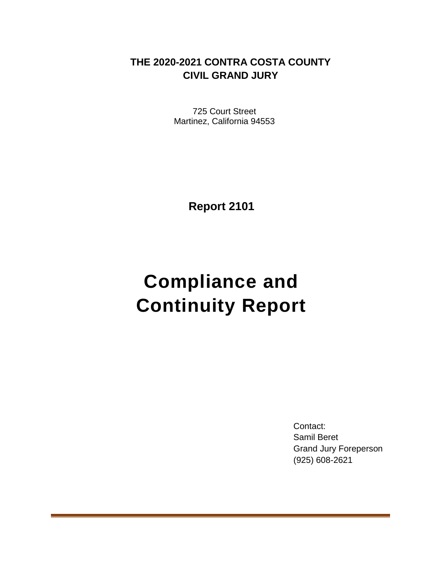# **THE 2020-2021 CONTRA COSTA COUNTY CIVIL GRAND JURY**

725 Court Street Martinez, California 94553

**Report 2101**

# **Compliance and Continuity Report**

Contact: Samil Beret Grand Jury Foreperson (925) 608-2621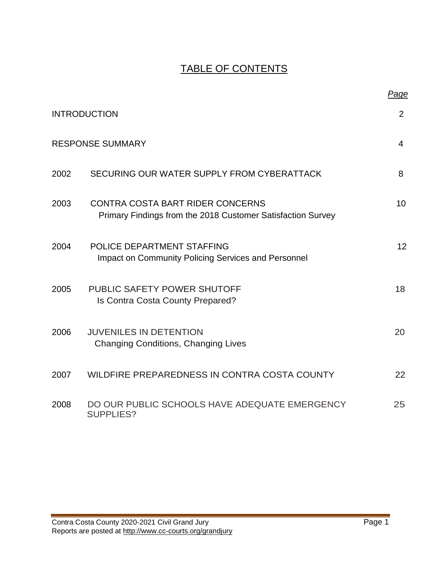# TABLE OF CONTENTS

|      |                                                                                                 | Page            |
|------|-------------------------------------------------------------------------------------------------|-----------------|
|      | <b>INTRODUCTION</b>                                                                             | $\overline{2}$  |
|      | <b>RESPONSE SUMMARY</b>                                                                         | 4               |
| 2002 | SECURING OUR WATER SUPPLY FROM CYBERATTACK                                                      | 8               |
| 2003 | CONTRA COSTA BART RIDER CONCERNS<br>Primary Findings from the 2018 Customer Satisfaction Survey | 10              |
| 2004 | POLICE DEPARTMENT STAFFING<br><b>Impact on Community Policing Services and Personnel</b>        | 12 <sup>2</sup> |
| 2005 | PUBLIC SAFETY POWER SHUTOFF<br>Is Contra Costa County Prepared?                                 | 18              |
| 2006 | <b>JUVENILES IN DETENTION</b><br><b>Changing Conditions, Changing Lives</b>                     | 20              |
| 2007 | WILDFIRE PREPAREDNESS IN CONTRA COSTA COUNTY                                                    | 22              |
| 2008 | DO OUR PUBLIC SCHOOLS HAVE ADEQUATE EMERGENCY<br><b>SUPPLIES?</b>                               | 25              |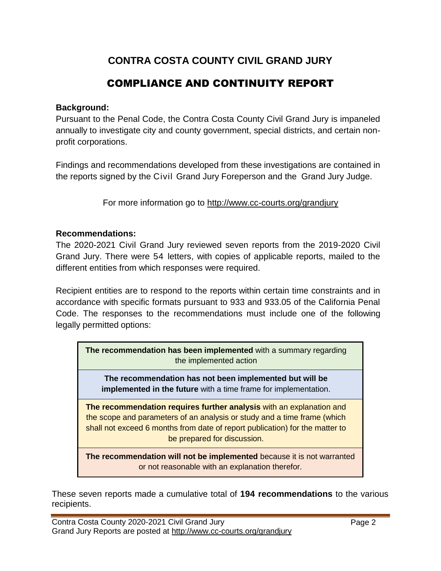# **CONTRA COSTA COUNTY CIVIL GRAND JURY**

# COMPLIANCE AND CONTINUITY REPORT

#### **Background:**

Pursuant to the Penal Code, the Contra Costa County Civil Grand Jury is impaneled annually to investigate city and county government, special districts, and certain nonprofit corporations.

Findings and recommendations developed from these investigations are contained in the reports signed by the Civil Grand Jury Foreperson and the Grand Jury Judge.

For more information go to<http://www.cc-courts.org/grandjury>

#### **Recommendations:**

The 2020-2021 Civil Grand Jury reviewed seven reports from the 2019-2020 Civil Grand Jury. There were 54 letters, with copies of applicable reports, mailed to the different entities from which responses were required.

Recipient entities are to respond to the reports within certain time constraints and in accordance with specific formats pursuant to 933 and 933.05 of the California Penal Code. The responses to the recommendations must include one of the following legally permitted options:

**The recommendation has been implemented** with a summary regarding the implemented action

**The recommendation has not been implemented but will be implemented in the future** with a time frame for implementation.

**The recommendation requires further analysis** with an explanation and the scope and parameters of an analysis or study and a time frame (which shall not exceed 6 months from date of report publication) for the matter to be prepared for discussion.

**The recommendation will not be implemented** because it is not warranted or not reasonable with an explanation therefor.

These seven reports made a cumulative total of **194 recommendations** to the various recipients.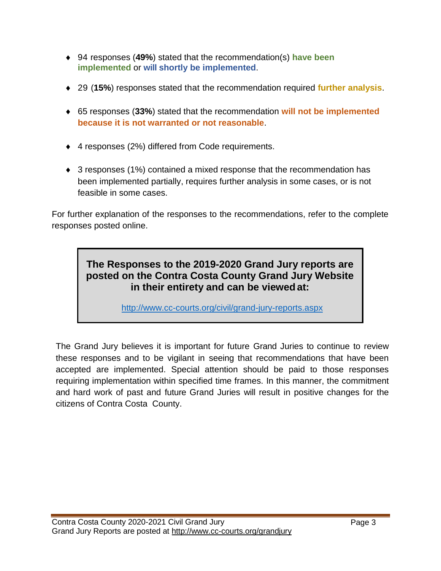- 94 responses (**49%**) stated that the recommendation(s) **have been implemented** or **will shortly be implemented**.
- 29 (**15%**) responses stated that the recommendation required **further analysis**.
- 65 responses (**33%**) stated that the recommendation **will not be implemented because it is not warranted or not reasonable**.
- ◆ 4 responses (2%) differed from Code requirements.
- ◆ 3 responses (1%) contained a mixed response that the recommendation has been implemented partially, requires further analysis in some cases, or is not feasible in some cases.

For further explanation of the responses to the recommendations, refer to the complete responses posted online.

# **The Responses to the 2019-2020 Grand Jury reports are posted on the Contra Costa County Grand Jury Website in their entirety and can be viewedat:**

<http://www.cc-courts.org/civil/grand-jury-reports.aspx>

The Grand Jury believes it is important for future Grand Juries to continue to review these responses and to be vigilant in seeing that recommendations that have been accepted are implemented. Special attention should be paid to those responses requiring implementation within specified time frames. In this manner, the commitment and hard work of past and future Grand Juries will result in positive changes for the citizens of Contra Costa County.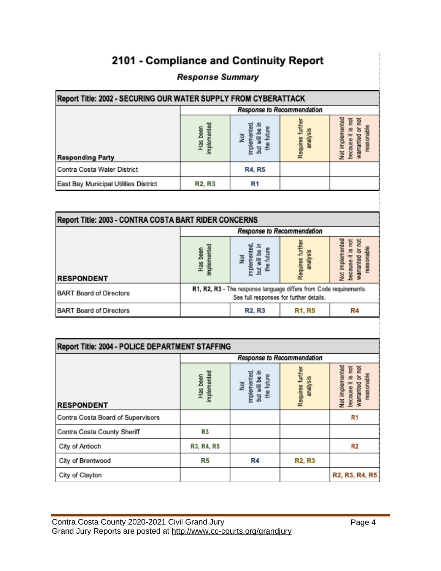# 2101 - Compliance and Continuity Report

#### **Response Summary**

| Report Title: 2002 - SECURING OUR WATER SUPPLY FROM CYBERATTACK |                            |                                                   |                        |                                                                              |
|-----------------------------------------------------------------|----------------------------|---------------------------------------------------|------------------------|------------------------------------------------------------------------------|
|                                                                 |                            | Response to Recommendation                        |                        |                                                                              |
| <b>Responding Party</b>                                         | implemented<br>been<br>Has | future<br>និ<br>Not<br>implement<br>ţ<br>옴<br>but | analysis<br>Requires 1 | Not implemented<br>ĕ<br>ta<br>ø<br>ਠ<br>reasona<br>岩<br>warranted<br>because |
| Contra Costa Water District                                     |                            | <b>R4, R5</b>                                     |                        |                                                                              |
| East Bay Municipal Utilities District                           | <b>R2, R3</b>              | R1                                                |                        |                                                                              |

| <b>Report Title: 2003 - CONTRA COSTA BART RIDER CONCERNS</b> |                                                                                                               |                                    |                      |                                                 |
|--------------------------------------------------------------|---------------------------------------------------------------------------------------------------------------|------------------------------------|----------------------|-------------------------------------------------|
|                                                              |                                                                                                               | Response to Recommendation         |                      |                                                 |
| <b>RESPONDENT</b>                                            | mplemented<br>Has been                                                                                        | Not<br>implemented,<br>future<br>ă | analysis<br>Requires | Not implemented<br>ē<br>ĕ<br>reasona<br>warrant |
| <b>BART Board of Directors</b>                               | R1, R2, R3 - The response language differs from Code requirements.<br>See full responses for further details. |                                    |                      |                                                 |
| <b>BART Board of Directors</b>                               |                                                                                                               | <b>R2, R3</b>                      | <b>R1, R5</b>        | R4                                              |

| Report Title: 2004 - POLICE DEPARTMENT STAFFING |                         |                                                          |                              |                                                                                       |
|-------------------------------------------------|-------------------------|----------------------------------------------------------|------------------------------|---------------------------------------------------------------------------------------|
|                                                 |                         |                                                          | Response to Recommendation   |                                                                                       |
| <b>RESPONDENT</b>                               | implemented<br>Has been | implemented<br>the future<br>but will be<br>$\gtrapprox$ | Requires further<br>analysis | Not implemented<br>莒<br><b>Tor</b><br>reasonable<br>ø<br>ਠ<br>because it<br>warranted |
| Contra Costa Board of Supervisors               |                         |                                                          |                              | R1                                                                                    |
| Contra Costa County Sheriff                     | R3                      |                                                          |                              |                                                                                       |
| City of Antioch                                 | R3, R4, R5              |                                                          |                              | R2                                                                                    |
| City of Brentwood                               | R5                      | R4                                                       | <b>R2, R3</b>                |                                                                                       |
| City of Clayton                                 |                         |                                                          |                              | R <sub>2</sub> , R <sub>3</sub> , R <sub>4</sub> , R <sub>5</sub>                     |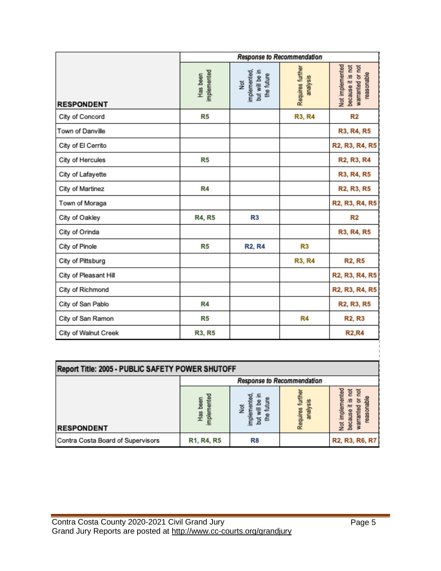|                       | Response to Recommendation |                                                              |                              |                                                                        |
|-----------------------|----------------------------|--------------------------------------------------------------|------------------------------|------------------------------------------------------------------------|
| <b>RESPONDENT</b>     | implemented<br>Has been    | but will be in<br>implemented<br>the future<br>$\breve{\Xi}$ | Requires further<br>analysis | Not implemented<br>warranted or not<br>because it is not<br>reasonable |
| City of Concord       | R5                         |                                                              | <b>R3, R4</b>                | R <sub>2</sub>                                                         |
| Town of Danville      |                            |                                                              |                              | R3, R4, R5                                                             |
| City of El Cerrito    |                            |                                                              |                              | R2, R3, R4, R5                                                         |
| City of Hercules      | R5                         |                                                              |                              | R <sub>2</sub> , R <sub>3</sub> , R <sub>4</sub>                       |
| City of Lafayette     |                            |                                                              |                              | R3, R4, R5                                                             |
| City of Martinez      | R4                         |                                                              |                              | R <sub>2</sub> , R <sub>3</sub> , R <sub>5</sub>                       |
| Town of Moraga        |                            |                                                              |                              | R2, R3, R4, R5                                                         |
| City of Oakley        | <b>R4, R5</b>              | R <sub>3</sub>                                               |                              | R2                                                                     |
| City of Orinda        |                            |                                                              |                              | R3, R4, R5                                                             |
| City of Pinole        | R5                         | <b>R2, R4</b>                                                | R3                           |                                                                        |
| City of Pittsburg     |                            |                                                              | <b>R3, R4</b>                | <b>R2, R5</b>                                                          |
| City of Pleasant Hill |                            |                                                              |                              | R2, R3, R4, R5                                                         |
| City of Richmond      |                            |                                                              |                              | R2, R3, R4, R5                                                         |
| City of San Pablo     | R4                         |                                                              |                              | R <sub>2</sub> , R <sub>3</sub> , R <sub>5</sub>                       |
| City of San Ramon     | R5                         |                                                              | R4                           | <b>R2, R3</b>                                                          |
| City of Walnut Creek  | R3, R5                     |                                                              |                              | <b>R2,R4</b>                                                           |

| Report Title: 2005 - PUBLIC SAFETY POWER SHUTOFF |                            |               |                               |                       |
|--------------------------------------------------|----------------------------|---------------|-------------------------------|-----------------------|
|                                                  | Response to Recommendation |               |                               |                       |
| <b>RESPONDENT</b>                                | Deen<br>Has<br>nple        | $\frac{5}{2}$ | $rac{1}{5}$<br>88<br>ana<br>å | 읕<br>ğ                |
| Contra Costa Board of Supervisors                | R1, R4, R5                 | R8            |                               | <b>R2, R3, R6, R7</b> |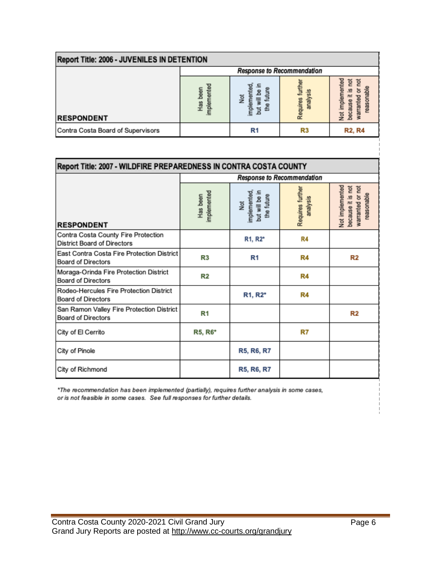| Report Title: 2006 - JUVENILES IN DETENTION |                                         |                |                         |                         |
|---------------------------------------------|-----------------------------------------|----------------|-------------------------|-------------------------|
|                                             | Response to Recommendation              |                |                         |                         |
| <b>RESPONDENT</b>                           | ente<br>been<br>H <sub>88</sub><br>mple | ਛ<br>ğ         | $rac{5}{50}$<br>39<br>å | ē<br>g<br>Ē<br>ara<br>ğ |
| Contra Costa Board of Supervisors           |                                         | R <sub>1</sub> | R3                      | <b>R2, R4</b>           |

| Report Title: 2007 - WILDFIRE PREPAREDNESS IN CONTRA COSTA COUNTY         |                         |                                                     |                              |                                                                        |
|---------------------------------------------------------------------------|-------------------------|-----------------------------------------------------|------------------------------|------------------------------------------------------------------------|
|                                                                           |                         |                                                     | Response to Recommendation   |                                                                        |
| <b>RESPONDENT</b>                                                         | implemented<br>Has been | Not<br>implemented,<br>but will be in<br>the future | Requires further<br>analysis | Not implemented<br>because it is not<br>warranted or not<br>reasonable |
| Contra Costa County Fire Protection<br><b>District Board of Directors</b> |                         | R1, R2*                                             | R4                           |                                                                        |
| East Contra Costa Fire Protection District<br><b>Board of Directors</b>   | R3                      | R1                                                  | R4                           | R2                                                                     |
| Moraga-Orinda Fire Protection District<br><b>Board of Directors</b>       | R <sub>2</sub>          |                                                     | R4                           |                                                                        |
| Rodeo-Hercules Fire Protection District<br><b>Board of Directors</b>      |                         | R <sub>1</sub> , R <sub>2</sub> *                   | R4                           |                                                                        |
| San Ramon Valley Fire Protection District<br><b>Board of Directors</b>    | R1                      |                                                     |                              | R2                                                                     |
| City of El Cerrito                                                        | R5, R6*                 |                                                     | R7                           |                                                                        |
| City of Pinole                                                            |                         | R5, R6, R7                                          |                              |                                                                        |
| City of Richmond                                                          |                         | R5, R6, R7                                          |                              |                                                                        |

\*The recommendation has been implemented (partially), requires further analysis in some cases, or is not feasible in some cases. See full responses for further details.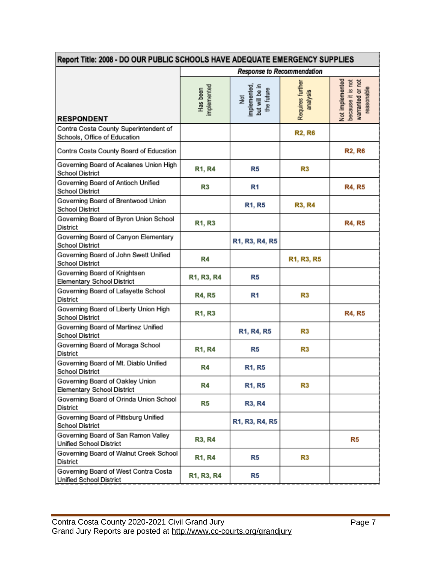| Report Title: 2008 - DO OUR PUBLIC SCHOOLS HAVE ADEQUATE EMERGENCY SUPPLIES |                                                  |                                                     |                                                  |                                                                        |
|-----------------------------------------------------------------------------|--------------------------------------------------|-----------------------------------------------------|--------------------------------------------------|------------------------------------------------------------------------|
|                                                                             | Response to Recommendation                       |                                                     |                                                  |                                                                        |
| <b>RESPONDENT</b>                                                           | mplemented<br>Has been                           | Not<br>implemented,<br>but will be in<br>the future | Requires further<br>analysis                     | Not implemented<br>because it is not<br>warranted or not<br>reasonable |
| Contra Costa County Superintendent of<br>Schools, Office of Education       |                                                  |                                                     | <b>R2, R6</b>                                    |                                                                        |
| Contra Costa County Board of Education                                      |                                                  |                                                     |                                                  | <b>R2, R6</b>                                                          |
| Governing Board of Acalanes Union High<br><b>School District</b>            | R1, R4                                           | R5                                                  | R3                                               |                                                                        |
| Governing Board of Antioch Unified<br><b>School District</b>                | R3                                               | R1                                                  |                                                  | <b>R4, R5</b>                                                          |
| Governing Board of Brentwood Union<br><b>School District</b>                |                                                  | R1, R5                                              | <b>R3, R4</b>                                    |                                                                        |
| Governing Board of Byron Union School<br>District                           | R1, R3                                           |                                                     |                                                  | <b>R4, R5</b>                                                          |
| Governing Board of Canyon Elementary<br><b>School District</b>              |                                                  | R1, R3, R4, R5                                      |                                                  |                                                                        |
| Governing Board of John Swett Unified<br><b>School District</b>             | R4                                               |                                                     | R <sub>1</sub> , R <sub>3</sub> , R <sub>5</sub> |                                                                        |
| Governing Board of Knightsen<br><b>Elementary School District</b>           | R <sub>1</sub> , R <sub>3</sub> , R <sub>4</sub> | R5                                                  |                                                  |                                                                        |
| Governing Board of Lafayette School<br>District                             | <b>R4, R5</b>                                    | R <sub>1</sub>                                      | R3                                               |                                                                        |
| Governing Board of Liberty Union High<br><b>School District</b>             | R1, R3                                           |                                                     |                                                  | <b>R4, R5</b>                                                          |
| Governing Board of Martinez Unified<br><b>School District</b>               |                                                  | R1, R4, R5                                          | R3                                               |                                                                        |
| Governing Board of Moraga School<br>District                                | R1, R4                                           | R5                                                  | R3                                               |                                                                        |
| Governing Board of Mt. Diablo Unified<br><b>School District</b>             | R4                                               | <b>R1, R5</b>                                       |                                                  |                                                                        |
| Governing Board of Oakley Union<br><b>Elementary School District</b>        | R4                                               | <b>R1, R5</b>                                       | R3                                               |                                                                        |
| Governing Board of Orinda Union School<br>District                          | R5                                               | <b>R3, R4</b>                                       |                                                  |                                                                        |
| Governing Board of Pittsburg Unified<br><b>School District</b>              |                                                  | R1, R3, R4, R5                                      |                                                  |                                                                        |
| Governing Board of San Ramon Valley<br>Unified School District              | <b>R3, R4</b>                                    |                                                     |                                                  | R5                                                                     |
| Governing Board of Walnut Creek School<br>District                          | <b>R1, R4</b>                                    | R5                                                  | R3                                               |                                                                        |
| Governing Board of West Contra Costa<br>Unified School District             | R1, R3, R4                                       | R5                                                  |                                                  |                                                                        |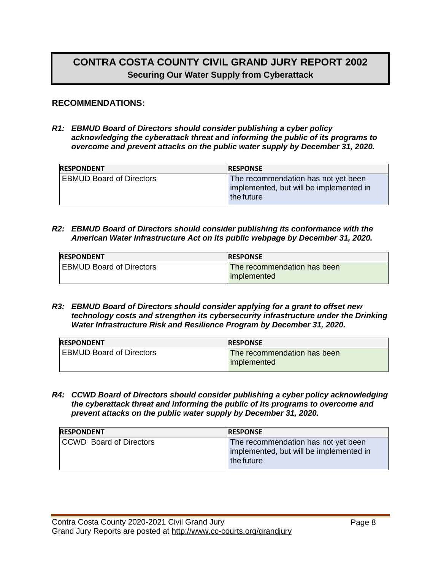# **CONTRA COSTA COUNTY CIVIL GRAND JURY REPORT 2002 Securing Our Water Supply from Cyberattack**

#### **RECOMMENDATIONS:**

*R1: EBMUD Board of Directors should consider publishing a cyber policy acknowledging the cyberattack threat and informing the public of its programs to overcome and prevent attacks on the public water supply by December 31, 2020.*

| <b>RESPONDENT</b>               | <b>RESPONSE</b>                                                                                |
|---------------------------------|------------------------------------------------------------------------------------------------|
| <b>EBMUD Board of Directors</b> | The recommendation has not yet been<br>implemented, but will be implemented in<br>l the future |

#### *R2: EBMUD Board of Directors should consider publishing its conformance with the American Water Infrastructure Act on its public webpage by December 31, 2020.*

| <b>RESPONDENT</b>               | <b>RESPONSE</b>             |
|---------------------------------|-----------------------------|
| <b>EBMUD Board of Directors</b> | The recommendation has been |
|                                 | implemented                 |

*R3: EBMUD Board of Directors should consider applying for a grant to offset new technology costs and strengthen its cybersecurity infrastructure under the Drinking Water Infrastructure Risk and Resilience Program by December 31, 2020.*

| <b>RESPONDENT</b>               | <b>RESPONSE</b>             |
|---------------------------------|-----------------------------|
| <b>EBMUD Board of Directors</b> | The recommendation has been |
|                                 | l implemented               |

*R4: CCWD Board of Directors should consider publishing a cyber policy acknowledging the cyberattack threat and informing the public of its programs to overcome and prevent attacks on the public water supply by December 31, 2020.*

| <b>RESPONDENT</b>              | <b>RESPONSE</b>                                                                              |
|--------------------------------|----------------------------------------------------------------------------------------------|
| <b>CCWD</b> Board of Directors | The recommendation has not yet been<br>implemented, but will be implemented in<br>the future |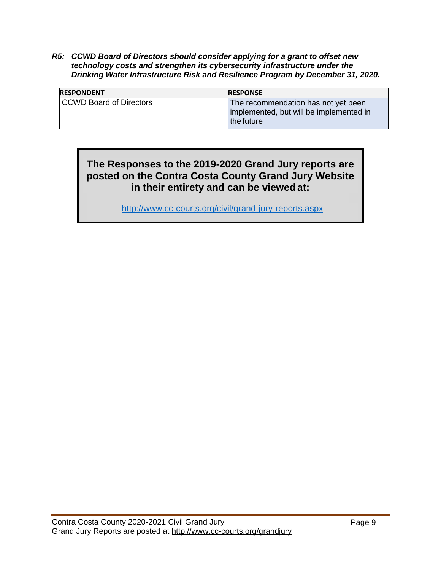*R5: CCWD Board of Directors should consider applying for a grant to offset new technology costs and strengthen its cybersecurity infrastructure under the Drinking Water Infrastructure Risk and Resilience Program by December 31, 2020.*

| <b>RESPONDENT</b>       | <b>RESPONSE</b>                                                                                |
|-------------------------|------------------------------------------------------------------------------------------------|
| CCWD Board of Directors | The recommendation has not yet been<br>implemented, but will be implemented in<br>l the future |

### **The Responses to the 2019-2020 Grand Jury reports are posted on the Contra Costa County Grand Jury Website in their entirety and can be viewed at:**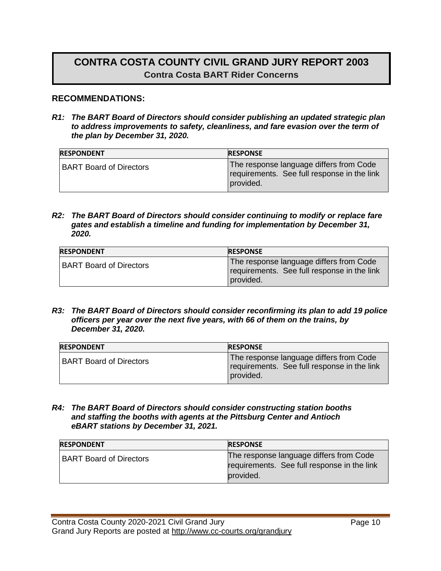# **CONTRA COSTA COUNTY CIVIL GRAND JURY REPORT 2003 Contra Costa BART Rider Concerns**

#### **RECOMMENDATIONS:**

*R1: The BART Board of Directors should consider publishing an updated strategic plan to address improvements to safety, cleanliness, and fare evasion over the term of the plan by December 31, 2020.*

| <b>RESPONDENT</b>              | <b>RESPONSE</b>                                                                                     |
|--------------------------------|-----------------------------------------------------------------------------------------------------|
| <b>BART Board of Directors</b> | The response language differs from Code<br>requirements. See full response in the link<br>provided. |

*R2: The BART Board of Directors should consider continuing to modify or replace fare gates and establish a timeline and funding for implementation by December 31, 2020.*

| <b>RESPONDENT</b>              | <b>RESPONSE</b>                                                                                     |
|--------------------------------|-----------------------------------------------------------------------------------------------------|
| <b>BART Board of Directors</b> | The response language differs from Code<br>requirements. See full response in the link<br>provided. |

*R3: The BART Board of Directors should consider reconfirming its plan to add 19 police officers per year over the next five years, with 66 of them on the trains, by December 31, 2020.*

| <b>RESPONDENT</b>              | <b>RESPONSE</b>                                                                                     |
|--------------------------------|-----------------------------------------------------------------------------------------------------|
| <b>BART Board of Directors</b> | The response language differs from Code<br>requirements. See full response in the link<br>provided. |

*R4: The BART Board of Directors should consider constructing station booths and staffing the booths with agents at the Pittsburg Center and Antioch eBART stations by December 31, 2021.*

| <b>RESPONDENT</b>              | <b>RESPONSE</b>                                                                                     |
|--------------------------------|-----------------------------------------------------------------------------------------------------|
| <b>BART Board of Directors</b> | The response language differs from Code<br>requirements. See full response in the link<br>provided. |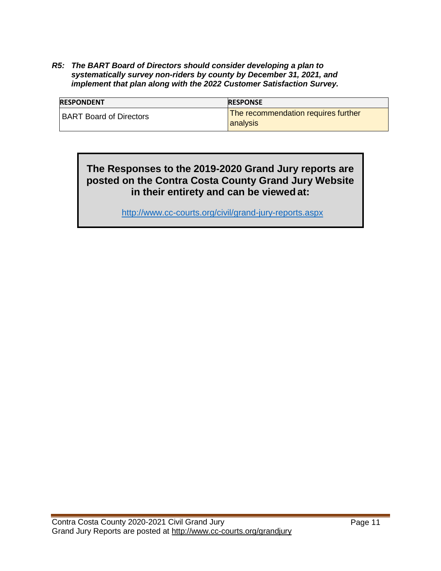*R5: The BART Board of Directors should consider developing a plan to systematically survey non-riders by county by December 31, 2021, and implement that plan along with the 2022 Customer Satisfaction Survey.*

| <b>RESPONDENT</b>              | <b>RESPONSE</b>                                        |
|--------------------------------|--------------------------------------------------------|
| <b>BART Board of Directors</b> | The recommendation requires further<br><b>analysis</b> |

### **The Responses to the 2019-2020 Grand Jury reports are posted on the Contra Costa County Grand Jury Website in their entirety and can be viewed at:**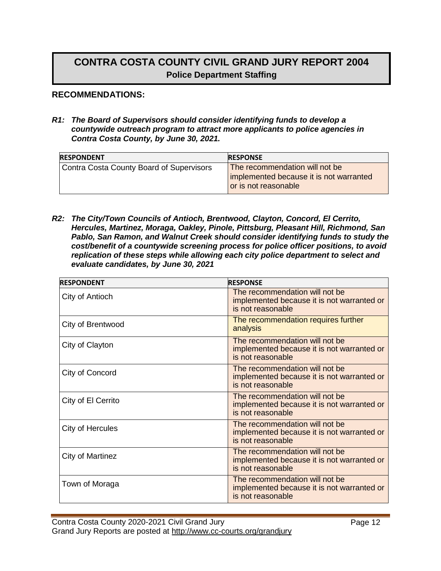# **CONTRA COSTA COUNTY CIVIL GRAND JURY REPORT 2004 Police Department Staffing**

#### **RECOMMENDATIONS:**

*R1: The Board of Supervisors should consider identifying funds to develop a countywide outreach program to attract more applicants to police agencies in Contra Costa County, by June 30, 2021.*

| <b>RESPONDENT</b>                        | <b>RESPONSE</b>                                                                                   |
|------------------------------------------|---------------------------------------------------------------------------------------------------|
| Contra Costa County Board of Supervisors | The recommendation will not be<br>implemented because it is not warranted<br>or is not reasonable |

*R2: The City/Town Councils of Antioch, Brentwood, Clayton, Concord, El Cerrito, Hercules, Martinez, Moraga, Oakley, Pinole, Pittsburg, Pleasant Hill, Richmond, San Pablo, San Ramon, and Walnut Creek should consider identifying funds to study the cost/benefit of a countywide screening process for police officer positions, to avoid replication of these steps while allowing each city police department to select and evaluate candidates, by June 30, 2021*

| <b>RESPONDENT</b>  | <b>RESPONSE</b>                                                                                   |
|--------------------|---------------------------------------------------------------------------------------------------|
| City of Antioch    | The recommendation will not be<br>implemented because it is not warranted or<br>is not reasonable |
| City of Brentwood  | The recommendation requires further<br>analysis                                                   |
| City of Clayton    | The recommendation will not be<br>implemented because it is not warranted or<br>is not reasonable |
| City of Concord    | The recommendation will not be<br>implemented because it is not warranted or<br>is not reasonable |
| City of El Cerrito | The recommendation will not be<br>implemented because it is not warranted or<br>is not reasonable |
| City of Hercules   | The recommendation will not be<br>implemented because it is not warranted or<br>is not reasonable |
| City of Martinez   | The recommendation will not be<br>implemented because it is not warranted or<br>is not reasonable |
| Town of Moraga     | The recommendation will not be<br>implemented because it is not warranted or<br>is not reasonable |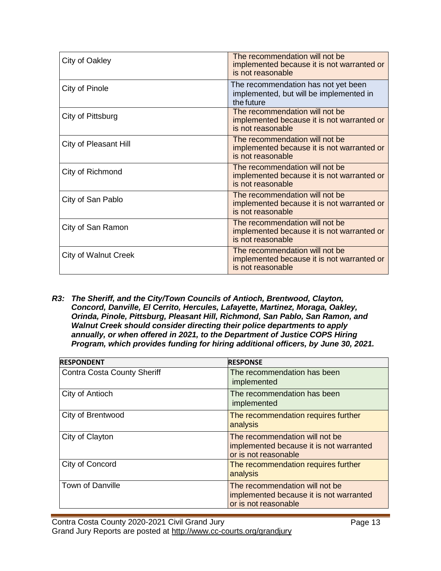| City of Oakley              | The recommendation will not be<br>implemented because it is not warranted or<br>is not reasonable |
|-----------------------------|---------------------------------------------------------------------------------------------------|
| City of Pinole              | The recommendation has not yet been<br>implemented, but will be implemented in<br>the future      |
| City of Pittsburg           | The recommendation will not be<br>implemented because it is not warranted or<br>is not reasonable |
| City of Pleasant Hill       | The recommendation will not be<br>implemented because it is not warranted or<br>is not reasonable |
| City of Richmond            | The recommendation will not be<br>implemented because it is not warranted or<br>is not reasonable |
| City of San Pablo           | The recommendation will not be<br>implemented because it is not warranted or<br>is not reasonable |
| City of San Ramon           | The recommendation will not be<br>implemented because it is not warranted or<br>is not reasonable |
| <b>City of Walnut Creek</b> | The recommendation will not be<br>implemented because it is not warranted or<br>is not reasonable |

*R3: The Sheriff, and the City/Town Councils of Antioch, Brentwood, Clayton, Concord, Danville, El Cerrito, Hercules, Lafayette, Martinez, Moraga, Oakley, Orinda, Pinole, Pittsburg, Pleasant Hill, Richmond, San Pablo, San Ramon, and Walnut Creek should consider directing their police departments to apply annually, or when offered in 2021, to the Department of Justice COPS Hiring Program, which provides funding for hiring additional officers, by June 30, 2021.*

| <b>RESPONDENT</b>                  | <b>RESPONSE</b>                                                                                   |
|------------------------------------|---------------------------------------------------------------------------------------------------|
| <b>Contra Costa County Sheriff</b> | The recommendation has been<br>implemented                                                        |
| City of Antioch                    | The recommendation has been<br>implemented                                                        |
| City of Brentwood                  | The recommendation requires further<br>analysis                                                   |
| City of Clayton                    | The recommendation will not be<br>implemented because it is not warranted<br>or is not reasonable |
| City of Concord                    | The recommendation requires further<br>analysis                                                   |
| <b>Town of Danville</b>            | The recommendation will not be<br>implemented because it is not warranted<br>or is not reasonable |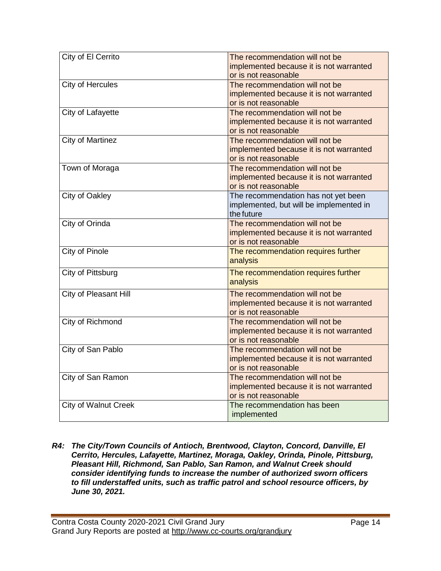| City of El Cerrito          | The recommendation will not be          |
|-----------------------------|-----------------------------------------|
|                             | implemented because it is not warranted |
|                             | or is not reasonable                    |
| City of Hercules            | The recommendation will not be          |
|                             | implemented because it is not warranted |
|                             | or is not reasonable                    |
| City of Lafayette           | The recommendation will not be          |
|                             | implemented because it is not warranted |
|                             | or is not reasonable                    |
| <b>City of Martinez</b>     | The recommendation will not be          |
|                             | implemented because it is not warranted |
|                             | or is not reasonable                    |
| Town of Moraga              | The recommendation will not be          |
|                             | implemented because it is not warranted |
|                             | or is not reasonable                    |
| City of Oakley              | The recommendation has not yet been     |
|                             | implemented, but will be implemented in |
|                             | the future                              |
| City of Orinda              | The recommendation will not be          |
|                             | implemented because it is not warranted |
|                             | or is not reasonable                    |
| City of Pinole              | The recommendation requires further     |
|                             | analysis                                |
| City of Pittsburg           | The recommendation requires further     |
|                             | analysis                                |
| City of Pleasant Hill       | The recommendation will not be          |
|                             | implemented because it is not warranted |
|                             | or is not reasonable                    |
| City of Richmond            | The recommendation will not be          |
|                             | implemented because it is not warranted |
|                             | or is not reasonable                    |
| City of San Pablo           | The recommendation will not be          |
|                             | implemented because it is not warranted |
|                             | or is not reasonable                    |
| City of San Ramon           | The recommendation will not be          |
|                             | implemented because it is not warranted |
|                             | or is not reasonable                    |
| <b>City of Walnut Creek</b> | The recommendation has been             |
|                             | implemented                             |
|                             |                                         |

*R4: The City/Town Councils of Antioch, Brentwood, Clayton, Concord, Danville, El Cerrito, Hercules, Lafayette, Martinez, Moraga, Oakley, Orinda, Pinole, Pittsburg, Pleasant Hill, Richmond, San Pablo, San Ramon, and Walnut Creek should consider identifying funds to increase the number of authorized sworn officers to fill understaffed units, such as traffic patrol and school resource officers, by June 30, 2021.*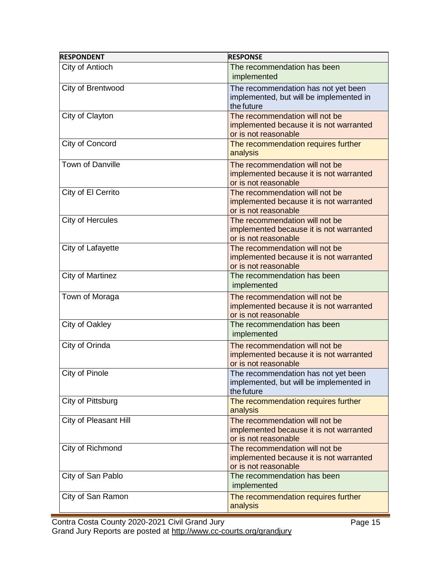| <b>RESPONDENT</b>       | <b>RESPONSE</b>                                                                                   |
|-------------------------|---------------------------------------------------------------------------------------------------|
| City of Antioch         | The recommendation has been<br>implemented                                                        |
| City of Brentwood       | The recommendation has not yet been<br>implemented, but will be implemented in<br>the future      |
| City of Clayton         | The recommendation will not be<br>implemented because it is not warranted<br>or is not reasonable |
| City of Concord         | The recommendation requires further<br>analysis                                                   |
| <b>Town of Danville</b> | The recommendation will not be<br>implemented because it is not warranted<br>or is not reasonable |
| City of El Cerrito      | The recommendation will not be<br>implemented because it is not warranted<br>or is not reasonable |
| <b>City of Hercules</b> | The recommendation will not be<br>implemented because it is not warranted<br>or is not reasonable |
| City of Lafayette       | The recommendation will not be<br>implemented because it is not warranted<br>or is not reasonable |
| <b>City of Martinez</b> | The recommendation has been<br>implemented                                                        |
| Town of Moraga          | The recommendation will not be<br>implemented because it is not warranted<br>or is not reasonable |
| City of Oakley          | The recommendation has been<br>implemented                                                        |
| City of Orinda          | The recommendation will not be<br>implemented because it is not warranted<br>or is not reasonable |
| City of Pinole          | The recommendation has not yet been<br>implemented, but will be implemented in<br>the future      |
| City of Pittsburg       | The recommendation requires further<br>analysis                                                   |
| City of Pleasant Hill   | The recommendation will not be<br>implemented because it is not warranted<br>or is not reasonable |
| City of Richmond        | The recommendation will not be<br>implemented because it is not warranted<br>or is not reasonable |
| City of San Pablo       | The recommendation has been<br>implemented                                                        |
| City of San Ramon       | The recommendation requires further<br>analysis                                                   |

Contra Costa County 2020-2021 Civil Grand Jury Grand Jury Reports are posted at<http://www.cc-courts.org/grandjury>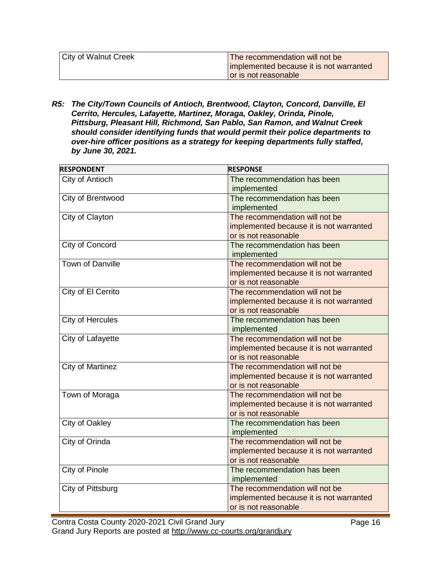| <b>City of Walnut Creek</b> | The recommendation will not be          |
|-----------------------------|-----------------------------------------|
|                             | implemented because it is not warranted |
|                             | or is not reasonable                    |

*R5: The City/Town Councils of Antioch, Brentwood, Clayton, Concord, Danville, El Cerrito, Hercules, Lafayette, Martinez, Moraga, Oakley, Orinda, Pinole, Pittsburg, Pleasant Hill, Richmond, San Pablo, San Ramon, and Walnut Creek should consider identifying funds that would permit their police departments to over-hire officer positions as a strategy for keeping departments fully staffed, by June 30, 2021.*

| <b>RESPONDENT</b>       | <b>RESPONSE</b>                         |
|-------------------------|-----------------------------------------|
| City of Antioch         | The recommendation has been             |
|                         | implemented                             |
| City of Brentwood       | The recommendation has been             |
|                         | implemented                             |
| City of Clayton         | The recommendation will not be          |
|                         | implemented because it is not warranted |
|                         | or is not reasonable                    |
| City of Concord         | The recommendation has been             |
|                         | implemented                             |
| <b>Town of Danville</b> | The recommendation will not be          |
|                         | implemented because it is not warranted |
|                         | or is not reasonable                    |
| City of El Cerrito      | The recommendation will not be          |
|                         | implemented because it is not warranted |
|                         | or is not reasonable                    |
| City of Hercules        | The recommendation has been             |
|                         | implemented                             |
| City of Lafayette       | The recommendation will not be          |
|                         | implemented because it is not warranted |
|                         | or is not reasonable                    |
| <b>City of Martinez</b> | The recommendation will not be          |
|                         | implemented because it is not warranted |
|                         | or is not reasonable                    |
| Town of Moraga          | The recommendation will not be          |
|                         | implemented because it is not warranted |
|                         | or is not reasonable                    |
| City of Oakley          | The recommendation has been             |
|                         | implemented                             |
| City of Orinda          | The recommendation will not be          |
|                         | implemented because it is not warranted |
|                         | or is not reasonable                    |
| <b>City of Pinole</b>   | The recommendation has been             |
|                         | implemented                             |
| City of Pittsburg       | The recommendation will not be          |
|                         | implemented because it is not warranted |
|                         | or is not reasonable                    |

Contra Costa County 2020-2021 Civil Grand Jury Grand Jury Reports are posted at<http://www.cc-courts.org/grandjury>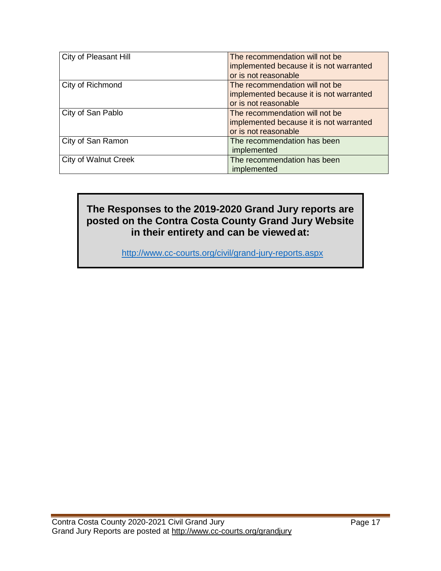| City of Pleasant Hill       | The recommendation will not be          |
|-----------------------------|-----------------------------------------|
|                             |                                         |
|                             | implemented because it is not warranted |
|                             | or is not reasonable                    |
| City of Richmond            | The recommendation will not be          |
|                             | implemented because it is not warranted |
|                             | or is not reasonable                    |
| City of San Pablo           | The recommendation will not be          |
|                             | implemented because it is not warranted |
|                             | or is not reasonable                    |
| City of San Ramon           | The recommendation has been             |
|                             | implemented                             |
| <b>City of Walnut Creek</b> | The recommendation has been             |
|                             | implemented                             |

### **The Responses to the 2019-2020 Grand Jury reports are posted on the Contra Costa County Grand Jury Website in their entirety and can be viewedat:**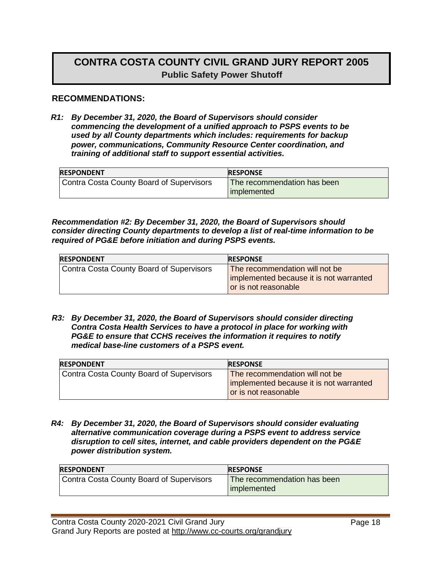# **CONTRA COSTA COUNTY CIVIL GRAND JURY REPORT 2005 Public Safety Power Shutoff**

#### **RECOMMENDATIONS:**

*R1: By December 31, 2020, the Board of Supervisors should consider commencing the development of a unified approach to PSPS events to be used by all County departments which includes: requirements for backup power, communications, Community Resource Center coordination, and training of additional staff to support essential activities.*

| <b>RESPONSE</b>                              |
|----------------------------------------------|
| The recommendation has been<br>l implemented |
|                                              |

*Recommendation #2: By December 31, 2020, the Board of Supervisors should consider directing County departments to develop a list of real-time information to be required of PG&E before initiation and during PSPS events.*

| <b>IRESPONDENT</b>                       | <b>RESPONSE</b>                         |
|------------------------------------------|-----------------------------------------|
| Contra Costa County Board of Supervisors | <b>The recommendation will not be</b>   |
|                                          | implemented because it is not warranted |
|                                          | or is not reasonable                    |

*R3: By December 31, 2020, the Board of Supervisors should consider directing Contra Costa Health Services to have a protocol in place for working with PG&E to ensure that CCHS receives the information it requires to notify medical base-line customers of a PSPS event.* 

| <b>RESPONDENT</b>                        | <b>RESPONSE</b>                                                                                   |
|------------------------------------------|---------------------------------------------------------------------------------------------------|
| Contra Costa County Board of Supervisors | The recommendation will not be<br>implemented because it is not warranted<br>or is not reasonable |

*R4: By December 31, 2020, the Board of Supervisors should consider evaluating alternative communication coverage during a PSPS event to address service disruption to cell sites, internet, and cable providers dependent on the PG&E power distribution system.* 

| <b>RESPONDENT</b>                        | <b>RESPONSE</b>                              |
|------------------------------------------|----------------------------------------------|
| Contra Costa County Board of Supervisors | The recommendation has been<br>l implemented |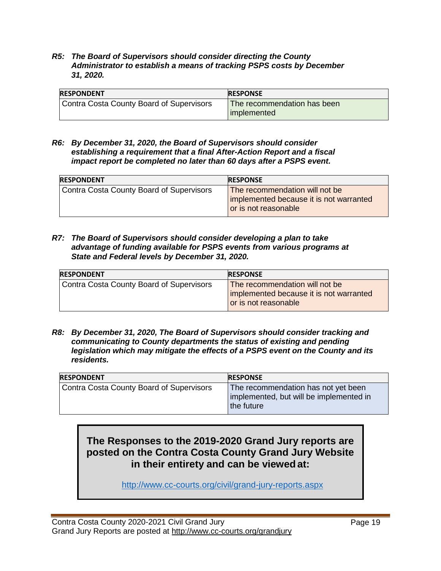*R5: The Board of Supervisors should consider directing the County Administrator to establish a means of tracking PSPS costs by December 31, 2020.*

| <b>RESPONDENT</b>                        | <b>RESPONSE</b>                            |
|------------------------------------------|--------------------------------------------|
| Contra Costa County Board of Supervisors | The recommendation has been<br>implemented |

*R6: By December 31, 2020, the Board of Supervisors should consider establishing a requirement that a final After-Action Report and a fiscal impact report be completed no later than 60 days after a PSPS event.*

| <b>RESPONDENT</b>                        | <b>RESPONSE</b>                                                                                   |
|------------------------------------------|---------------------------------------------------------------------------------------------------|
| Contra Costa County Board of Supervisors | The recommendation will not be<br>implemented because it is not warranted<br>or is not reasonable |

*R7: The Board of Supervisors should consider developing a plan to take advantage of funding available for PSPS events from various programs at State and Federal levels by December 31, 2020.*

| <b>RESPONDENT</b>                        | <b>RESPONSE</b>                                                                                   |
|------------------------------------------|---------------------------------------------------------------------------------------------------|
| Contra Costa County Board of Supervisors | The recommendation will not be<br>implemented because it is not warranted<br>or is not reasonable |

*R8: By December 31, 2020, The Board of Supervisors should consider tracking and communicating to County departments the status of existing and pending legislation which may mitigate the effects of a PSPS event on the County and its residents.* 

| <b>IRESPONDENT</b>                       | <b>RESPONSE</b>                                                                              |
|------------------------------------------|----------------------------------------------------------------------------------------------|
| Contra Costa County Board of Supervisors | The recommendation has not yet been<br>implemented, but will be implemented in<br>the future |

# **The Responses to the 2019-2020 Grand Jury reports are posted on the Contra Costa County Grand Jury Website in their entirety and can be viewed at:**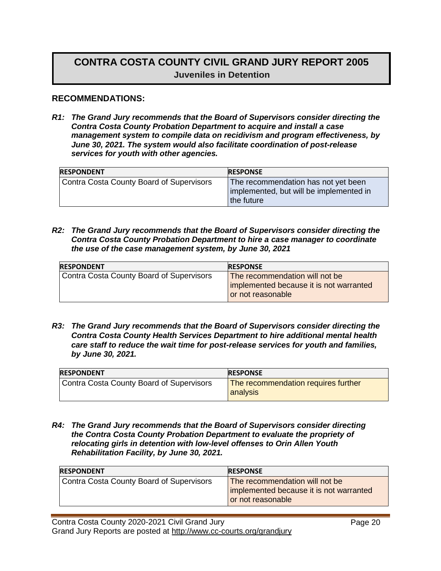# **CONTRA COSTA COUNTY CIVIL GRAND JURY REPORT 2005 Juveniles in Detention**

#### **RECOMMENDATIONS:**

*R1: The Grand Jury recommends that the Board of Supervisors consider directing the Contra Costa County Probation Department to acquire and install a case management system to compile data on recidivism and program effectiveness, by June 30, 2021. The system would also facilitate coordination of post-release services for youth with other agencies.* 

| <b>RESPONDENT</b>                        | <b>RESPONSE</b>                                                                              |
|------------------------------------------|----------------------------------------------------------------------------------------------|
| Contra Costa County Board of Supervisors | The recommendation has not yet been<br>implemented, but will be implemented in<br>the future |

*R2: The Grand Jury recommends that the Board of Supervisors consider directing the Contra Costa County Probation Department to hire a case manager to coordinate the use of the case management system, by June 30, 2021*

| <b>RESPONDENT</b>                        | <b>RESPONSE</b>                                              |
|------------------------------------------|--------------------------------------------------------------|
| Contra Costa County Board of Supervisors | The recommendation will not be                               |
|                                          | implemented because it is not warranted<br>or not reasonable |
|                                          |                                                              |

*R3: The Grand Jury recommends that the Board of Supervisors consider directing the Contra Costa County Health Services Department to hire additional mental health care staff to reduce the wait time for post-release services for youth and families, by June 30, 2021.* 

| <b>RESPONDENT</b>                               | <b>RESPONSE</b>                                 |
|-------------------------------------------------|-------------------------------------------------|
| <b>Contra Costa County Board of Supervisors</b> | The recommendation requires further<br>analysis |

*R4: The Grand Jury recommends that the Board of Supervisors consider directing the Contra Costa County Probation Department to evaluate the propriety of relocating girls in detention with low-level offenses to Orin Allen Youth Rehabilitation Facility, by June 30, 2021.* 

| <b>RESPONDENT</b>                        | <b>RESPONSE</b>                                                                                |
|------------------------------------------|------------------------------------------------------------------------------------------------|
| Contra Costa County Board of Supervisors | The recommendation will not be<br>implemented because it is not warranted<br>or not reasonable |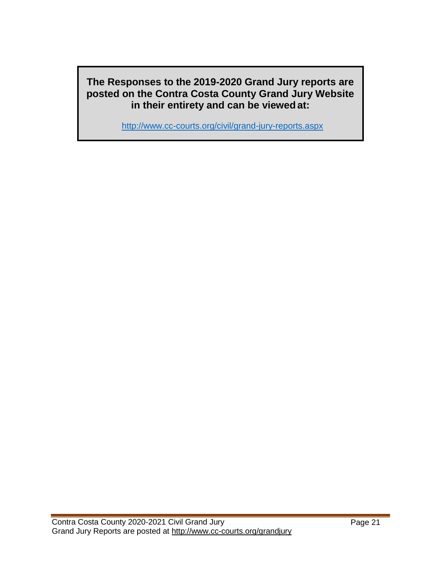**The Responses to the 2019-2020 Grand Jury reports are posted on the Contra Costa County Grand Jury Website in their entirety and can be viewed at:**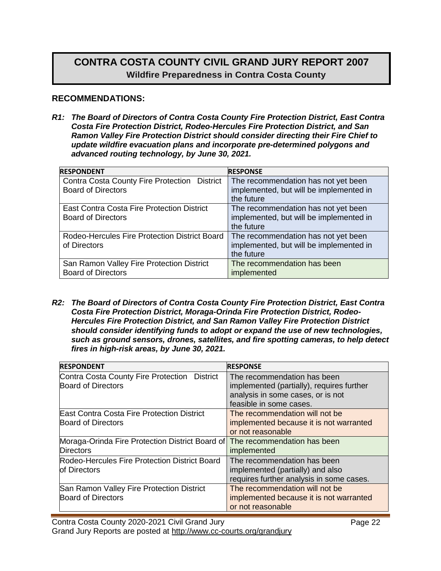# **CONTRA COSTA COUNTY CIVIL GRAND JURY REPORT 2007 Wildfire Preparedness in Contra Costa County**

#### **RECOMMENDATIONS:**

*R1: The Board of Directors of Contra Costa County Fire Protection District, East Contra Costa Fire Protection District, Rodeo-Hercules Fire Protection District, and San Ramon Valley Fire Protection District should consider directing their Fire Chief to update wildfire evacuation plans and incorporate pre-determined polygons and advanced routing technology, by June 30, 2021.*

| <b>RESPONDENT</b>                                 | <b>RESPONSE</b>                         |
|---------------------------------------------------|-----------------------------------------|
| Contra Costa County Fire Protection District      | The recommendation has not yet been     |
| <b>Board of Directors</b>                         | implemented, but will be implemented in |
|                                                   | the future                              |
| <b>East Contra Costa Fire Protection District</b> | The recommendation has not yet been     |
| <b>Board of Directors</b>                         | implemented, but will be implemented in |
|                                                   | the future                              |
| Rodeo-Hercules Fire Protection District Board     | The recommendation has not yet been     |
| of Directors                                      | implemented, but will be implemented in |
|                                                   | the future                              |
| San Ramon Valley Fire Protection District         | The recommendation has been             |
| <b>Board of Directors</b>                         | implemented                             |

*R2: The Board of Directors of Contra Costa County Fire Protection District, East Contra Costa Fire Protection District, Moraga-Orinda Fire Protection District, Rodeo-Hercules Fire Protection District, and San Ramon Valley Fire Protection District should consider identifying funds to adopt or expand the use of new technologies, such as ground sensors, drones, satellites, and fire spotting cameras, to help detect fires in high-risk areas, by June 30, 2021.*

| <b>RESPONDENT</b>                                                         | <b>RESPONSE</b>                                                                                                                          |
|---------------------------------------------------------------------------|------------------------------------------------------------------------------------------------------------------------------------------|
| Contra Costa County Fire Protection District<br><b>Board of Directors</b> | The recommendation has been<br>implemented (partially), requires further<br>analysis in some cases, or is not<br>feasible in some cases. |
| East Contra Costa Fire Protection District<br><b>Board of Directors</b>   | The recommendation will not be<br>implemented because it is not warranted<br>or not reasonable                                           |
| Moraga-Orinda Fire Protection District Board of<br><b>Directors</b>       | The recommendation has been<br>implemented                                                                                               |
| Rodeo-Hercules Fire Protection District Board<br>of Directors             | The recommendation has been<br>implemented (partially) and also<br>requires further analysis in some cases.                              |
| San Ramon Valley Fire Protection District<br><b>Board of Directors</b>    | The recommendation will not be<br>implemented because it is not warranted<br>or not reasonable                                           |

Contra Costa County 2020-2021 Civil Grand Jury Grand Jury Reports are posted at<http://www.cc-courts.org/grandjury>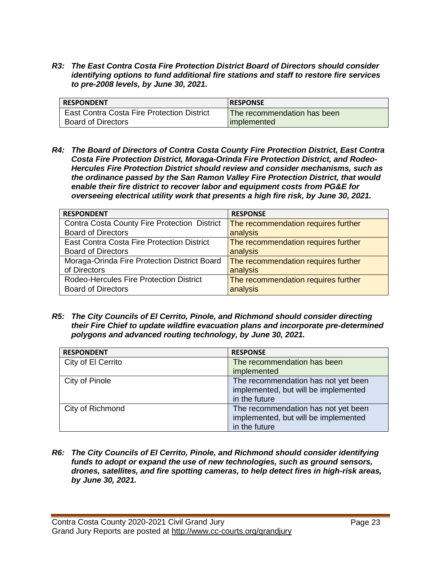*R3: The East Contra Costa Fire Protection District Board of Directors should consider identifying options to fund additional fire stations and staff to restore fire services to pre-2008 levels, by June 30, 2021.*

| <b>RESPONDENT</b>                                 | <b>RESPONSE</b>                    |
|---------------------------------------------------|------------------------------------|
| <b>East Contra Costa Fire Protection District</b> | <b>The recommendation has been</b> |
| <b>Board of Directors</b>                         | implemented                        |

*R4: The Board of Directors of Contra Costa County Fire Protection District, East Contra Costa Fire Protection District, Moraga-Orinda Fire Protection District, and Rodeo-Hercules Fire Protection District should review and consider mechanisms, such as the ordinance passed by the San Ramon Valley Fire Protection District, that would enable their fire district to recover labor and equipment costs from PG&E for overseeing electrical utility work that presents a high fire risk, by June 30, 2021.*

| <b>RESPONSE</b>                     |
|-------------------------------------|
| The recommendation requires further |
| analysis                            |
| The recommendation requires further |
| analysis                            |
| The recommendation requires further |
| analysis                            |
| The recommendation requires further |
| analysis                            |
|                                     |

*R5: The City Councils of El Cerrito, Pinole, and Richmond should consider directing their Fire Chief to update wildfire evacuation plans and incorporate pre-determined polygons and advanced routing technology, by June 30, 2021.*

| <b>RESPONDENT</b>  | <b>RESPONSE</b>                      |
|--------------------|--------------------------------------|
| City of El Cerrito | The recommendation has been          |
|                    | implemented                          |
| City of Pinole     | The recommendation has not yet been  |
|                    | implemented, but will be implemented |
|                    | in the future                        |
| City of Richmond   | The recommendation has not yet been  |
|                    | implemented, but will be implemented |
|                    | in the future                        |

*R6: The City Councils of El Cerrito, Pinole, and Richmond should consider identifying funds to adopt or expand the use of new technologies, such as ground sensors, drones, satellites, and fire spotting cameras, to help detect fires in high-risk areas, by June 30, 2021.*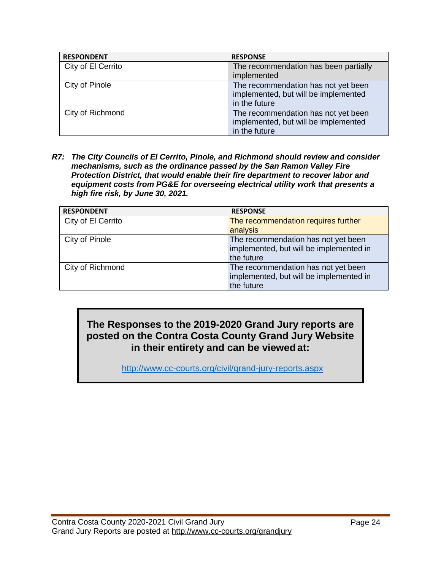| <b>RESPONDENT</b>  | <b>RESPONSE</b>                       |
|--------------------|---------------------------------------|
| City of El Cerrito | The recommendation has been partially |
|                    | implemented                           |
| City of Pinole     | The recommendation has not yet been   |
|                    | implemented, but will be implemented  |
|                    | in the future                         |
| City of Richmond   | The recommendation has not yet been   |
|                    | implemented, but will be implemented  |
|                    | in the future                         |

*R7: The City Councils of El Cerrito, Pinole, and Richmond should review and consider mechanisms, such as the ordinance passed by the San Ramon Valley Fire Protection District, that would enable their fire department to recover labor and equipment costs from PG&E for overseeing electrical utility work that presents a high fire risk, by June 30, 2021.*

| <b>RESPONDENT</b>  | <b>RESPONSE</b>                         |
|--------------------|-----------------------------------------|
| City of El Cerrito | The recommendation requires further     |
|                    | analysis                                |
| City of Pinole     | The recommendation has not yet been     |
|                    | implemented, but will be implemented in |
|                    | the future                              |
| City of Richmond   | The recommendation has not yet been     |
|                    | implemented, but will be implemented in |
|                    | the future                              |

# **The Responses to the 2019-2020 Grand Jury reports are posted on the Contra Costa County Grand Jury Website in their entirety and can be viewed at:**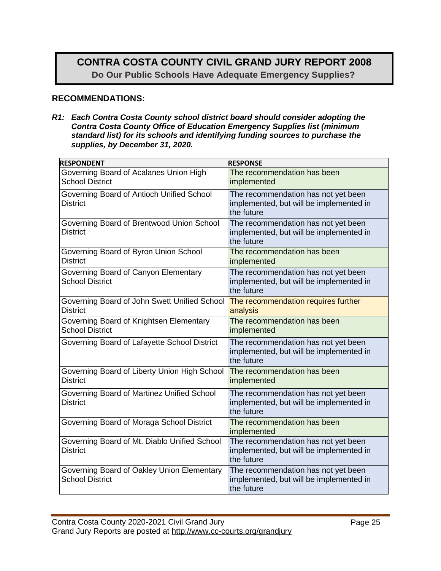# **CONTRA COSTA COUNTY CIVIL GRAND JURY REPORT 2008 Do Our Public Schools Have Adequate Emergency Supplies?**

#### **RECOMMENDATIONS:**

*R1: Each Contra Costa County school district board should consider adopting the Contra Costa County Office of Education Emergency Supplies list (minimum standard list) for its schools and identifying funding sources to purchase the supplies, by December 31, 2020.* 

| <b>RESPONDENT</b>                                                    | <b>RESPONSE</b>                                                                              |
|----------------------------------------------------------------------|----------------------------------------------------------------------------------------------|
| Governing Board of Acalanes Union High<br><b>School District</b>     | The recommendation has been<br>implemented                                                   |
| Governing Board of Antioch Unified School<br><b>District</b>         | The recommendation has not yet been<br>implemented, but will be implemented in<br>the future |
| Governing Board of Brentwood Union School<br><b>District</b>         | The recommendation has not yet been<br>implemented, but will be implemented in<br>the future |
| Governing Board of Byron Union School<br><b>District</b>             | The recommendation has been<br>implemented                                                   |
| Governing Board of Canyon Elementary<br><b>School District</b>       | The recommendation has not yet been<br>implemented, but will be implemented in<br>the future |
| Governing Board of John Swett Unified School<br><b>District</b>      | The recommendation requires further<br>analysis                                              |
| Governing Board of Knightsen Elementary<br><b>School District</b>    | The recommendation has been<br>implemented                                                   |
| Governing Board of Lafayette School District                         | The recommendation has not yet been<br>implemented, but will be implemented in<br>the future |
| Governing Board of Liberty Union High School<br><b>District</b>      | The recommendation has been<br>implemented                                                   |
| Governing Board of Martinez Unified School<br><b>District</b>        | The recommendation has not yet been<br>implemented, but will be implemented in<br>the future |
| Governing Board of Moraga School District                            | The recommendation has been<br>implemented                                                   |
| Governing Board of Mt. Diablo Unified School<br><b>District</b>      | The recommendation has not yet been<br>implemented, but will be implemented in<br>the future |
| Governing Board of Oakley Union Elementary<br><b>School District</b> | The recommendation has not yet been<br>implemented, but will be implemented in<br>the future |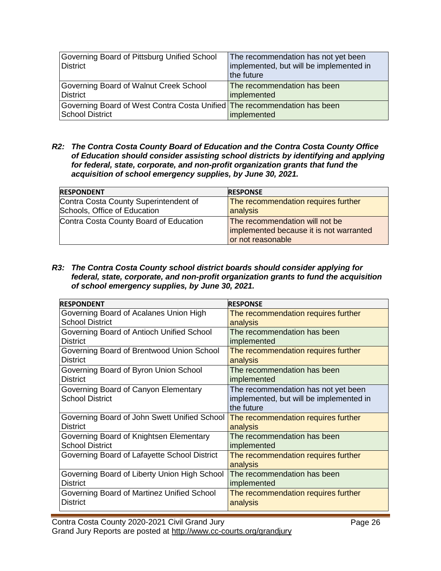| Governing Board of Pittsburg Unified School<br>District                                     | The recommendation has not yet been<br>implemented, but will be implemented in<br>the future |
|---------------------------------------------------------------------------------------------|----------------------------------------------------------------------------------------------|
| Governing Board of Walnut Creek School<br>District                                          | The recommendation has been<br>implemented                                                   |
| Governing Board of West Contra Costa Unified The recommendation has been<br>School District | implemented                                                                                  |

*R2: The Contra Costa County Board of Education and the Contra Costa County Office of Education should consider assisting school districts by identifying and applying for federal, state, corporate, and non-profit organization grants that fund the acquisition of school emergency supplies, by June 30, 2021.*

| <b>RESPONDENT</b>                      | <b>RESPONSE</b>                         |
|----------------------------------------|-----------------------------------------|
| Contra Costa County Superintendent of  | The recommendation requires further     |
| Schools, Office of Education           | analysis                                |
| Contra Costa County Board of Education | The recommendation will not be          |
|                                        | implemented because it is not warranted |
|                                        | or not reasonable                       |

#### *R3: The Contra Costa County school district boards should consider applying for federal, state, corporate, and non-profit organization grants to fund the acquisition of school emergency supplies, by June 30, 2021.*

| <b>RESPONDENT</b>                            | <b>RESPONSE</b>                         |
|----------------------------------------------|-----------------------------------------|
| Governing Board of Acalanes Union High       | The recommendation requires further     |
| <b>School District</b>                       | analysis                                |
| Governing Board of Antioch Unified School    | The recommendation has been             |
| <b>District</b>                              | implemented                             |
| Governing Board of Brentwood Union School    | The recommendation requires further     |
| <b>District</b>                              | analysis                                |
| Governing Board of Byron Union School        | The recommendation has been             |
| <b>District</b>                              | implemented                             |
| Governing Board of Canyon Elementary         | The recommendation has not yet been     |
| <b>School District</b>                       | implemented, but will be implemented in |
|                                              | the future                              |
| Governing Board of John Swett Unified School | The recommendation requires further     |
| <b>District</b>                              | analysis                                |
| Governing Board of Knightsen Elementary      | The recommendation has been             |
| <b>School District</b>                       | implemented                             |
| Governing Board of Lafayette School District | The recommendation requires further     |
|                                              | analysis                                |
| Governing Board of Liberty Union High School | The recommendation has been             |
| <b>District</b>                              | implemented                             |
| Governing Board of Martinez Unified School   | The recommendation requires further     |
| <b>District</b>                              | analysis                                |
|                                              |                                         |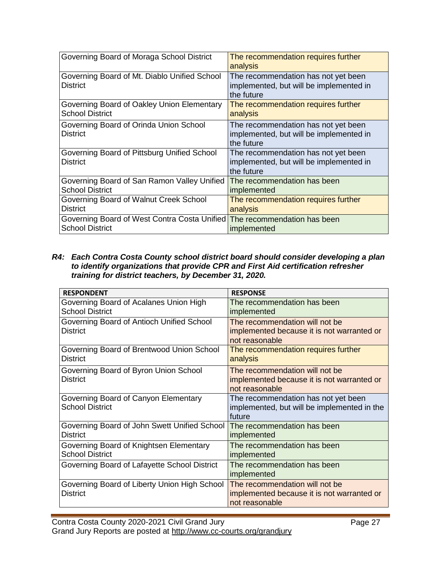| Governing Board of Moraga School District                       | The recommendation requires further<br>analysis                                              |
|-----------------------------------------------------------------|----------------------------------------------------------------------------------------------|
| Governing Board of Mt. Diablo Unified School<br><b>District</b> | The recommendation has not yet been<br>implemented, but will be implemented in<br>the future |
| Governing Board of Oakley Union Elementary                      | The recommendation requires further                                                          |
| <b>School District</b>                                          | analysis                                                                                     |
| Governing Board of Orinda Union School<br><b>District</b>       | The recommendation has not yet been<br>implemented, but will be implemented in<br>the future |
| Governing Board of Pittsburg Unified School<br><b>District</b>  | The recommendation has not yet been<br>implemented, but will be implemented in<br>the future |
| Governing Board of San Ramon Valley Unified                     | The recommendation has been                                                                  |
| <b>School District</b>                                          | implemented                                                                                  |
| Governing Board of Walnut Creek School                          | The recommendation requires further                                                          |
| <b>District</b>                                                 | analysis                                                                                     |
| Governing Board of West Contra Costa Unified                    | The recommendation has been                                                                  |
| <b>School District</b>                                          | implemented                                                                                  |

#### *R4: Each Contra Costa County school district board should consider developing a plan to identify organizations that provide CPR and First Aid certification refresher training for district teachers, by December 31, 2020.*

| <b>RESPONDENT</b>                            | <b>RESPONSE</b>                             |
|----------------------------------------------|---------------------------------------------|
| Governing Board of Acalanes Union High       | The recommendation has been                 |
| <b>School District</b>                       | implemented                                 |
| Governing Board of Antioch Unified School    | The recommendation will not be              |
| District                                     | implemented because it is not warranted or  |
|                                              | not reasonable                              |
| Governing Board of Brentwood Union School    | The recommendation requires further         |
| <b>District</b>                              | analysis                                    |
| Governing Board of Byron Union School        | The recommendation will not be              |
| District                                     | implemented because it is not warranted or  |
|                                              | not reasonable                              |
| Governing Board of Canyon Elementary         | The recommendation has not yet been         |
| <b>School District</b>                       | implemented, but will be implemented in the |
|                                              | future                                      |
| Governing Board of John Swett Unified School | The recommendation has been                 |
| District                                     | implemented                                 |
| Governing Board of Knightsen Elementary      | The recommendation has been                 |
| <b>School District</b>                       | implemented                                 |
| Governing Board of Lafayette School District | The recommendation has been                 |
|                                              | implemented                                 |
| Governing Board of Liberty Union High School | The recommendation will not be              |
| <b>District</b>                              | implemented because it is not warranted or  |
|                                              | not reasonable                              |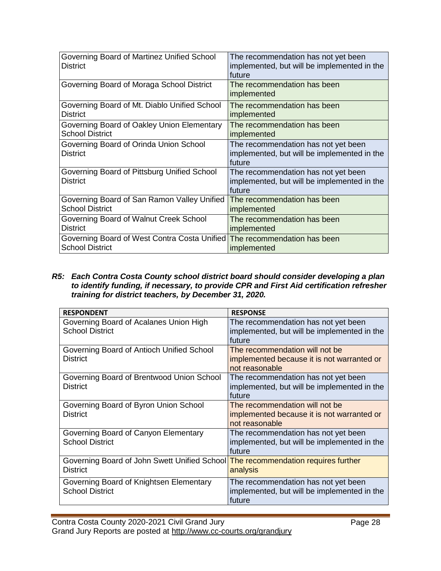| Governing Board of Martinez Unified School<br><b>District</b>  | The recommendation has not yet been<br>implemented, but will be implemented in the<br>future<br>The recommendation has been |
|----------------------------------------------------------------|-----------------------------------------------------------------------------------------------------------------------------|
| Governing Board of Moraga School District                      | implemented                                                                                                                 |
| Governing Board of Mt. Diablo Unified School                   | The recommendation has been                                                                                                 |
| <b>District</b>                                                | implemented                                                                                                                 |
| Governing Board of Oakley Union Elementary                     | The recommendation has been                                                                                                 |
| <b>School District</b>                                         | implemented                                                                                                                 |
| Governing Board of Orinda Union School<br><b>District</b>      | The recommendation has not yet been<br>implemented, but will be implemented in the<br>future                                |
| Governing Board of Pittsburg Unified School<br><b>District</b> | The recommendation has not yet been<br>implemented, but will be implemented in the<br>future                                |
| Governing Board of San Ramon Valley Unified                    | The recommendation has been                                                                                                 |
| <b>School District</b>                                         | implemented                                                                                                                 |
| Governing Board of Walnut Creek School                         | The recommendation has been                                                                                                 |
| <b>District</b>                                                | implemented                                                                                                                 |
| Governing Board of West Contra Costa Unified                   | The recommendation has been                                                                                                 |
| <b>School District</b>                                         | implemented                                                                                                                 |

#### *R5: Each Contra Costa County school district board should consider developing a plan to identify funding, if necessary, to provide CPR and First Aid certification refresher training for district teachers, by December 31, 2020.*

| <b>RESPONDENT</b>                                                                                   | <b>RESPONSE</b>                                                                                |
|-----------------------------------------------------------------------------------------------------|------------------------------------------------------------------------------------------------|
| Governing Board of Acalanes Union High<br><b>School District</b>                                    | The recommendation has not yet been<br>implemented, but will be implemented in the<br>future   |
| Governing Board of Antioch Unified School<br><b>District</b>                                        | The recommendation will not be<br>implemented because it is not warranted or<br>not reasonable |
| Governing Board of Brentwood Union School<br><b>District</b>                                        | The recommendation has not yet been<br>implemented, but will be implemented in the<br>future   |
| Governing Board of Byron Union School<br><b>District</b>                                            | The recommendation will not be<br>implemented because it is not warranted or<br>not reasonable |
| Governing Board of Canyon Elementary<br><b>School District</b>                                      | The recommendation has not yet been<br>implemented, but will be implemented in the<br>future   |
| Governing Board of John Swett Unified School The recommendation requires further<br><b>District</b> | analysis                                                                                       |
| Governing Board of Knightsen Elementary<br><b>School District</b>                                   | The recommendation has not yet been<br>implemented, but will be implemented in the<br>future   |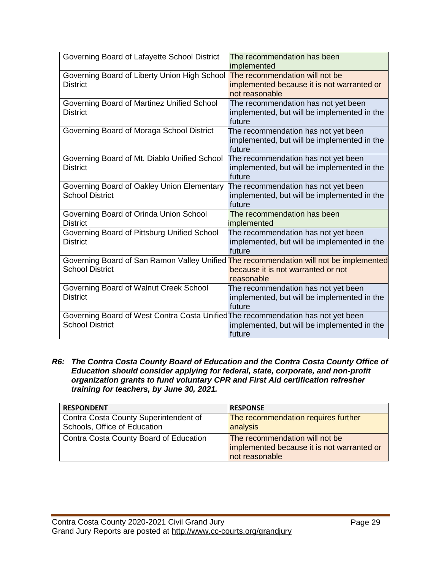| Governing Board of Lafayette School District                                                                     | The recommendation has been<br>implemented                                                     |
|------------------------------------------------------------------------------------------------------------------|------------------------------------------------------------------------------------------------|
| Governing Board of Liberty Union High School<br><b>District</b>                                                  | The recommendation will not be<br>implemented because it is not warranted or<br>not reasonable |
| Governing Board of Martinez Unified School<br><b>District</b>                                                    | The recommendation has not yet been<br>implemented, but will be implemented in the<br>future   |
| Governing Board of Moraga School District                                                                        | The recommendation has not yet been<br>implemented, but will be implemented in the<br>future   |
| Governing Board of Mt. Diablo Unified School<br><b>District</b>                                                  | The recommendation has not yet been<br>implemented, but will be implemented in the<br>future   |
| Governing Board of Oakley Union Elementary<br><b>School District</b>                                             | The recommendation has not yet been<br>implemented, but will be implemented in the<br>future   |
| Governing Board of Orinda Union School<br><b>District</b>                                                        | The recommendation has been<br>implemented                                                     |
| Governing Board of Pittsburg Unified School<br><b>District</b>                                                   | The recommendation has not yet been<br>implemented, but will be implemented in the<br>future   |
| Governing Board of San Ramon Valley Unified The recommendation will not be implemented<br><b>School District</b> | because it is not warranted or not<br>reasonable                                               |
| Governing Board of Walnut Creek School<br><b>District</b>                                                        | The recommendation has not yet been<br>implemented, but will be implemented in the<br>future   |
| Governing Board of West Contra Costa Unified The recommendation has not yet been<br><b>School District</b>       | implemented, but will be implemented in the<br>future                                          |

*R6: The Contra Costa County Board of Education and the Contra Costa County Office of Education should consider applying for federal, state, corporate, and non-profit organization grants to fund voluntary CPR and First Aid certification refresher training for teachers, by June 30, 2021.*

| <b>RESPONDENT</b>                      | <b>RESPONSE</b>                            |
|----------------------------------------|--------------------------------------------|
| Contra Costa County Superintendent of  | The recommendation requires further        |
| Schools, Office of Education           | analysis                                   |
| Contra Costa County Board of Education | The recommendation will not be             |
|                                        | implemented because it is not warranted or |
|                                        | not reasonable                             |